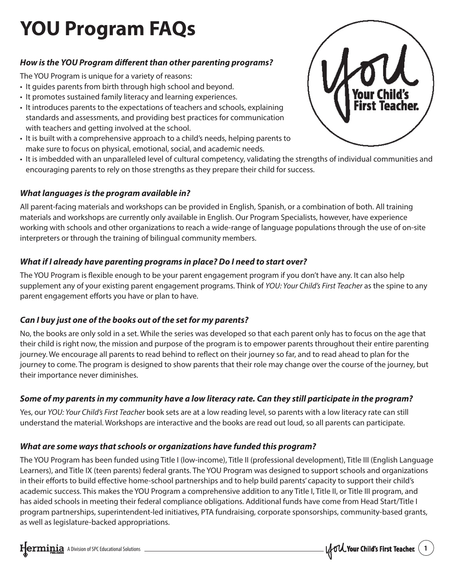# **YOU Program FAQs**

# *How is the YOU Program different than other parenting programs?*

The YOU Program is unique for a variety of reasons:

- It guides parents from birth through high school and beyond.
- It promotes sustained family literacy and learning experiences.
- It introduces parents to the expectations of teachers and schools, explaining standards and assessments, and providing best practices for communication with teachers and getting involved at the school.
- It is built with a comprehensive approach to a child's needs, helping parents to make sure to focus on physical, emotional, social, and academic needs.
- It is imbedded with an unparalleled level of cultural competency, validating the strengths of individual communities and encouraging parents to rely on those strengths as they prepare their child for success.

# *What languages is the program available in?*

All parent-facing materials and workshops can be provided in English, Spanish, or a combination of both. All training materials and workshops are currently only available in English. Our Program Specialists, however, have experience working with schools and other organizations to reach a wide-range of language populations through the use of on-site interpreters or through the training of bilingual community members.

## *What if I already have parenting programs in place? Do I need to start over?*

The YOU Program is flexible enough to be your parent engagement program if you don't have any. It can also help supplement any of your existing parent engagement programs. Think of *YOU: Your Child's First Teacher* as the spine to any parent engagement efforts you have or plan to have.

# *Can I buy just one of the books out of the set for my parents?*

No, the books are only sold in a set. While the series was developed so that each parent only has to focus on the age that their child is right now, the mission and purpose of the program is to empower parents throughout their entire parenting journey. We encourage all parents to read behind to reflect on their journey so far, and to read ahead to plan for the journey to come. The program is designed to show parents that their role may change over the course of the journey, but their importance never diminishes.

# *Some of my parents in my community have a low literacy rate. Can they still participate in the program?*

Yes, our *YOU: Your Child's First Teacher* book sets are at a low reading level, so parents with a low literacy rate can still understand the material. Workshops are interactive and the books are read out loud, so all parents can participate.

## *What are some ways that schools or organizations have funded this program?*

The YOU Program has been funded using Title I (low-income), Title II (professional development), Title III (English Language Learners), and Title IX (teen parents) federal grants. The YOU Program was designed to support schools and organizations in their efforts to build effective home-school partnerships and to help build parents' capacity to support their child's academic success. This makes the YOU Program a comprehensive addition to any Title I, Title II, or Title III program, and has aided schools in meeting their federal compliance obligations. Additional funds have come from Head Start/Title I program partnerships, superintendent-led initiatives, PTA fundraising, corporate sponsorships, community-based grants, as well as legislature-backed appropriations.



A Division of SPC Educational Solutions **1996** Material Solutions **1996** Material Solutions **1996** Material Solutions **1996** Material Solutions **1996** Material Solutions **1996** Material Solutions **1997** Material Solutions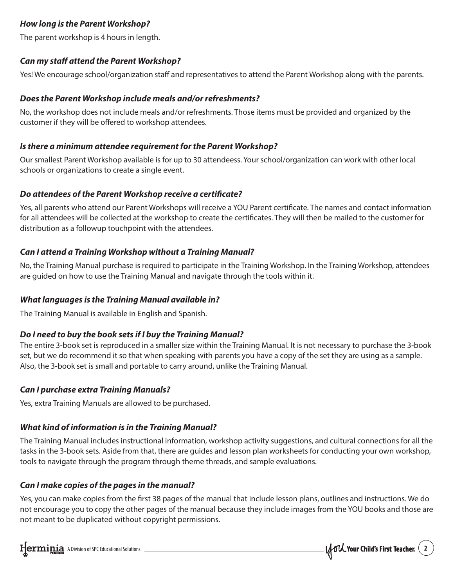## *How long is the Parent Workshop?*

The parent workshop is 4 hours in length.

#### *Can my staff attend the Parent Workshop?*

Yes! We encourage school/organization staff and representatives to attend the Parent Workshop along with the parents.

#### *Does the Parent Workshop include meals and/or refreshments?*

No, the workshop does not include meals and/or refreshments. Those items must be provided and organized by the customer if they will be offered to workshop attendees.

#### *Is there a minimum attendee requirement for the Parent Workshop?*

Our smallest Parent Workshop available is for up to 30 attendeess. Your school/organization can work with other local schools or organizations to create a single event.

#### *Do attendees of the Parent Workshop receive a certificate?*

Yes, all parents who attend our Parent Workshops will receive a YOU Parent certificate. The names and contact information for all attendees will be collected at the workshop to create the certificates. They will then be mailed to the customer for distribution as a followup touchpoint with the attendees.

## *Can I attend a Training Workshop without a Training Manual?*

No, the Training Manual purchase is required to participate in the Training Workshop. In the Training Workshop, attendees are guided on how to use the Training Manual and navigate through the tools within it.

## *What languages is the Training Manual available in?*

The Training Manual is available in English and Spanish.

## *Do I need to buy the book sets if I buy the Training Manual?*

The entire 3-book set is reproduced in a smaller size within the Training Manual. It is not necessary to purchase the 3-book set, but we do recommend it so that when speaking with parents you have a copy of the set they are using as a sample. Also, the 3-book set is small and portable to carry around, unlike the Training Manual.

## *Can I purchase extra Training Manuals?*

Yes, extra Training Manuals are allowed to be purchased.

## *What kind of information is in the Training Manual?*

The Training Manual includes instructional information, workshop activity suggestions, and cultural connections for all the tasks in the 3-book sets. Aside from that, there are guides and lesson plan worksheets for conducting your own workshop, tools to navigate through the program through theme threads, and sample evaluations.

## *Can I make copies of the pages in the manual?*

Yes, you can make copies from the first 38 pages of the manual that include lesson plans, outlines and instructions. We do not encourage you to copy the other pages of the manual because they include images from the YOU books and those are not meant to be duplicated without copyright permissions.